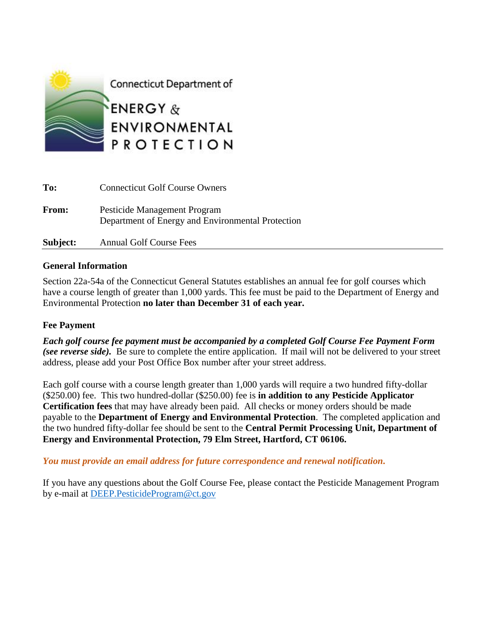

| To:      | <b>Connecticut Golf Course Owners</b>                                             |  |
|----------|-----------------------------------------------------------------------------------|--|
| From:    | Pesticide Management Program<br>Department of Energy and Environmental Protection |  |
| Subject: | <b>Annual Golf Course Fees</b>                                                    |  |

## **General Information**

Section 22a-54a of the Connecticut General Statutes establishes an annual fee for golf courses which have a course length of greater than 1,000 yards. This fee must be paid to the Department of Energy and Environmental Protection **no later than December 31 of each year.**

### **Fee Payment**

*Each golf course fee payment must be accompanied by a completed Golf Course Fee Payment Form (see reverse side).* Be sure to complete the entire application. If mail will not be delivered to your street address, please add your Post Office Box number after your street address.

Each golf course with a course length greater than 1,000 yards will require a two hundred fifty-dollar (\$250.00) fee. This two hundred-dollar (\$250.00) fee is **in addition to any Pesticide Applicator Certification fees** that may have already been paid. All checks or money orders should be made payable to the **Department of Energy and Environmental Protection**. The completed application and the two hundred fifty-dollar fee should be sent to the **Central Permit Processing Unit, Department of Energy and Environmental Protection, 79 Elm Street, Hartford, CT 06106.**

### *You must provide an email address for future correspondence and renewal notification.*

If you have any questions about the Golf Course Fee, please contact the Pesticide Management Program by e-mail at [DEEP.PesticideProgram@ct.gov](mailto:DEEP.PesticideProgram@ct.gov)